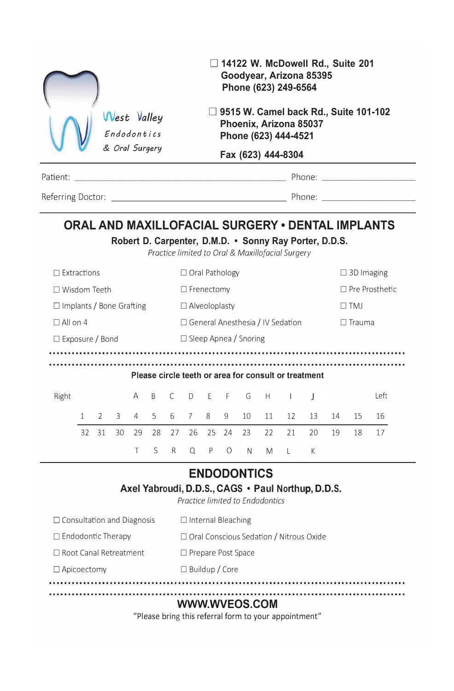|                                   |              |               |                                           | West Valley<br>Endodontics<br>& Oral Surgery |              |           | □ 14122 W. McDowell Rd., Suite 201<br>Goodyear, Arizona 85395<br>Phone (623) 249-6564<br>$\Box$ 9515 W. Camel back Rd., Suite 101-102<br>Phoenix, Arizona 85037<br>Phone (623) 444-4521<br>Fax (623) 444-8304<br>Patient: Note and the property of the contract of the property of the property of the property of the property of the property of the property of the property of the property of the property of the property of the property |    |           |                       |                                 |                                                                                                            |    |    |            |                                                  |  |  |
|-----------------------------------|--------------|---------------|-------------------------------------------|----------------------------------------------|--------------|-----------|-------------------------------------------------------------------------------------------------------------------------------------------------------------------------------------------------------------------------------------------------------------------------------------------------------------------------------------------------------------------------------------------------------------------------------------------------|----|-----------|-----------------------|---------------------------------|------------------------------------------------------------------------------------------------------------|----|----|------------|--------------------------------------------------|--|--|
|                                   |              |               |                                           |                                              |              |           |                                                                                                                                                                                                                                                                                                                                                                                                                                                 |    |           |                       |                                 |                                                                                                            |    |    |            |                                                  |  |  |
|                                   |              |               |                                           |                                              |              |           |                                                                                                                                                                                                                                                                                                                                                                                                                                                 |    |           |                       |                                 |                                                                                                            |    |    |            |                                                  |  |  |
|                                   |              |               |                                           |                                              |              |           |                                                                                                                                                                                                                                                                                                                                                                                                                                                 |    |           |                       |                                 |                                                                                                            |    |    |            |                                                  |  |  |
|                                   |              |               |                                           |                                              |              |           |                                                                                                                                                                                                                                                                                                                                                                                                                                                 |    |           |                       |                                 | Robert D. Carpenter, D.M.D. . Sonny Ray Porter, D.D.S.<br>Practice limited to Oral & Maxillofacial Surgery |    |    |            | ORAL AND MAXILLOFACIAL SURGERY . DENTAL IMPLANTS |  |  |
| $\Box$ Extractions                |              |               |                                           | $\Box$ Oral Pathology                        |              |           |                                                                                                                                                                                                                                                                                                                                                                                                                                                 |    |           |                       | $\Box$ 3D Imaging               |                                                                                                            |    |    |            |                                                  |  |  |
| □ Wisdom Teeth                    |              |               | $\Box$ Frenectomy                         |                                              |              |           |                                                                                                                                                                                                                                                                                                                                                                                                                                                 |    |           | $\Box$ Pre Prosthetic |                                 |                                                                                                            |    |    |            |                                                  |  |  |
| $\Box$ Implants / Bone Grafting   |              |               |                                           |                                              |              |           | $\Box$ Alveoloplasty                                                                                                                                                                                                                                                                                                                                                                                                                            |    |           |                       |                                 |                                                                                                            |    |    | $\Box$ TMJ |                                                  |  |  |
| $\Box$ All on 4                   |              |               |                                           |                                              |              |           | $\Box$ General Anesthesia / IV Sedation                                                                                                                                                                                                                                                                                                                                                                                                         |    |           |                       |                                 |                                                                                                            |    |    |            | $\Box$ Trauma                                    |  |  |
| $\Box$ Exposure / Bond            |              |               |                                           |                                              |              |           | $\Box$ Sleep Apnea / Snoring                                                                                                                                                                                                                                                                                                                                                                                                                    |    |           |                       |                                 |                                                                                                            |    |    |            |                                                  |  |  |
|                                   |              |               |                                           |                                              |              |           |                                                                                                                                                                                                                                                                                                                                                                                                                                                 |    |           |                       |                                 |                                                                                                            |    |    |            |                                                  |  |  |
|                                   |              |               |                                           |                                              |              |           |                                                                                                                                                                                                                                                                                                                                                                                                                                                 |    |           |                       |                                 | Please circle teeth or area for consult or treatment                                                       |    |    |            |                                                  |  |  |
| Right                             |              |               |                                           | A                                            | <sub>R</sub> | $\subset$ | D.                                                                                                                                                                                                                                                                                                                                                                                                                                              | F. | F         | G                     | H                               | $\mathbf{L}$                                                                                               | J  |    |            | l eft                                            |  |  |
|                                   | $\mathbf{1}$ | $\mathcal{L}$ | 3                                         | 4                                            | 5            | 6         | $\overline{7}$                                                                                                                                                                                                                                                                                                                                                                                                                                  | 8  | 9         | 10 <sup>1</sup>       | 11                              | 12                                                                                                         | 13 | 14 | 15         | 16                                               |  |  |
|                                   | 32           | 31            | 30                                        | 29                                           | 28           | 27        | 26                                                                                                                                                                                                                                                                                                                                                                                                                                              | 25 | 24        | 23                    | 22                              | 21                                                                                                         | 20 | 19 | 18         | 17                                               |  |  |
|                                   |              |               |                                           | T.                                           | $\varsigma$  | R.        | Q                                                                                                                                                                                                                                                                                                                                                                                                                                               | P  | $\bigcap$ | N                     | M                               | $-1$                                                                                                       | K  |    |            |                                                  |  |  |
|                                   |              |               |                                           |                                              |              |           |                                                                                                                                                                                                                                                                                                                                                                                                                                                 |    |           | <b>ENDODONTICS</b>    | Practice limited to Endodontics | Axel Yabroudi, D.D.S., CAGS . Paul Northup, D.D.S.                                                         |    |    |            |                                                  |  |  |
| $\Box$ Consultation and Diagnosis |              |               |                                           |                                              |              |           | □ Internal Bleaching                                                                                                                                                                                                                                                                                                                                                                                                                            |    |           |                       |                                 |                                                                                                            |    |    |            |                                                  |  |  |
| $\Box$ Endodontic Therapy         |              |               | □ Oral Conscious Sedation / Nitrous Oxide |                                              |              |           |                                                                                                                                                                                                                                                                                                                                                                                                                                                 |    |           |                       |                                 |                                                                                                            |    |    |            |                                                  |  |  |
| □ Root Canal Retreatment          |              |               | □ Prepare Post Space                      |                                              |              |           |                                                                                                                                                                                                                                                                                                                                                                                                                                                 |    |           |                       |                                 |                                                                                                            |    |    |            |                                                  |  |  |
| $\Box$ Apicoectomy                |              |               |                                           | □ Buildup / Core                             |              |           |                                                                                                                                                                                                                                                                                                                                                                                                                                                 |    |           |                       |                                 |                                                                                                            |    |    |            |                                                  |  |  |
|                                   |              |               |                                           |                                              |              |           |                                                                                                                                                                                                                                                                                                                                                                                                                                                 |    |           |                       |                                 |                                                                                                            |    |    |            |                                                  |  |  |

## **WWW.WVEOS.COM**

"Please bring this referral form to your appointment"